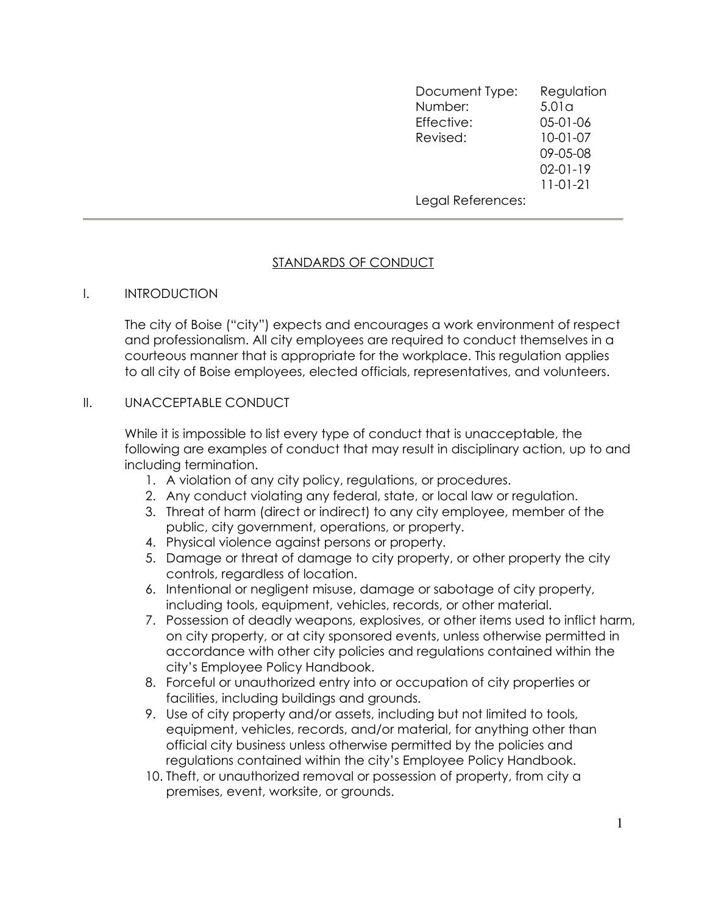Document Type: Regulation Number: 5.01a Effective: 05-01-06 Revised: 10-01-07 09-05-08 02-01-19 11-01-21 Legal References:

## STANDARDS OF CONDUCT

## I. INTRODUCTION

The city of Boise ("city") expects and encourages a work environment of respect and professionalism. All city employees are required to conduct themselves in a courteous manner that is appropriate for the workplace. This regulation applies to all city of Boise employees, elected officials, representatives, and volunteers.

## II. UNACCEPTABLE CONDUCT

While it is impossible to list every type of conduct that is unacceptable, the following are examples of conduct that may result in disciplinary action, up to and including termination.

- 1. A violation of any city policy, regulations, or procedures.
- 2. Any conduct violating any federal, state, or local law or regulation.
- 3. Threat of harm (direct or indirect) to any city employee, member of the public, city government, operations, or property.
- 4. Physical violence against persons or property.
- 5. Damage or threat of damage to city property, or other property the city controls, regardless of location.
- 6. Intentional or negligent misuse, damage or sabotage of city property, including tools, equipment, vehicles, records, or other material.
- 7. Possession of deadly weapons, explosives, or other items used to inflict harm, on city property, or at city sponsored events, unless otherwise permitted in accordance with other city policies and regulations contained within the city's Employee Policy Handbook.
- 8. Forceful or unauthorized entry into or occupation of city properties or facilities, including buildings and grounds.
- 9. Use of city property and/or assets, including but not limited to tools, equipment, vehicles, records, and/or material, for anything other than official city business unless otherwise permitted by the policies and regulations contained within the city's Employee Policy Handbook.
- 10. Theft, or unauthorized removal or possession of property, from city a premises, event, worksite, or grounds.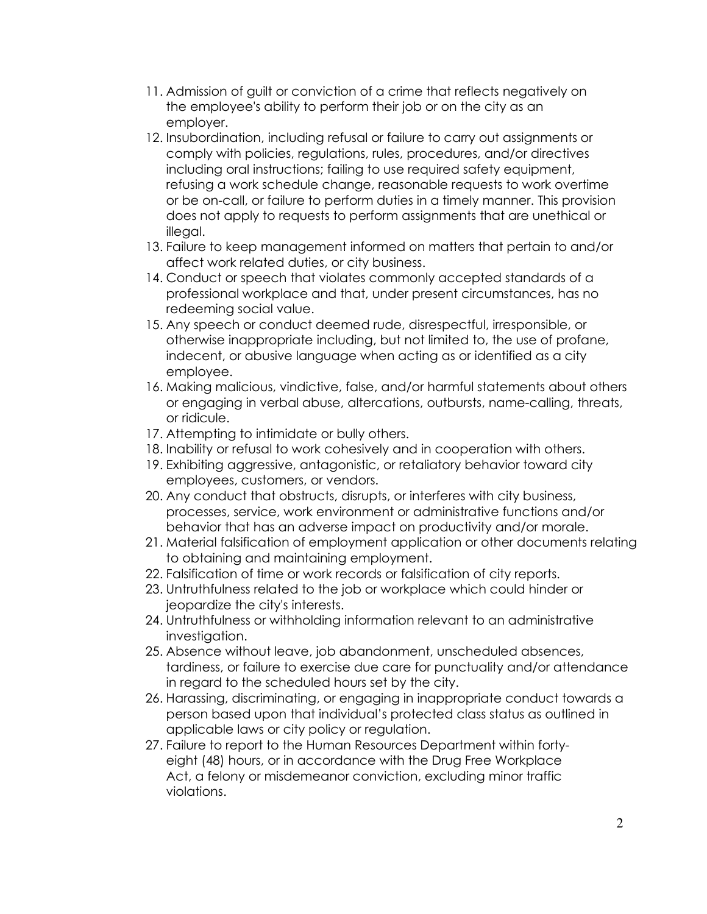- 11. Admission of guilt or conviction of a crime that reflects negatively on the employee's ability to perform their job or on the city as an employer.
- 12. Insubordination, including refusal or failure to carry out assignments or comply with policies, regulations, rules, procedures, and/or directives including oral instructions; failing to use required safety equipment, refusing a work schedule change, reasonable requests to work overtime or be on-call, or failure to perform duties in a timely manner. This provision does not apply to requests to perform assignments that are unethical or illegal.
- 13. Failure to keep management informed on matters that pertain to and/or affect work related duties, or city business.
- 14. Conduct or speech that violates commonly accepted standards of a professional workplace and that, under present circumstances, has no redeeming social value.
- 15. Any speech or conduct deemed rude, disrespectful, irresponsible, or otherwise inappropriate including, but not limited to, the use of profane, indecent, or abusive language when acting as or identified as a city employee.
- 16. Making malicious, vindictive, false, and/or harmful statements about others or engaging in verbal abuse, altercations, outbursts, name-calling, threats, or ridicule.
- 17. Attempting to intimidate or bully others.
- 18. Inability or refusal to work cohesively and in cooperation with others.
- 19. Exhibiting aggressive, antagonistic, or retaliatory behavior toward city employees, customers, or vendors.
- 20. Any conduct that obstructs, disrupts, or interferes with city business, processes, service, work environment or administrative functions and/or behavior that has an adverse impact on productivity and/or morale.
- 21. Material falsification of employment application or other documents relating to obtaining and maintaining employment.
- 22. Falsification of time or work records or falsification of city reports.
- 23. Untruthfulness related to the job or workplace which could hinder or jeopardize the city's interests.
- 24. Untruthfulness or withholding information relevant to an administrative investigation.
- 25. Absence without leave, job abandonment, unscheduled absences, tardiness, or failure to exercise due care for punctuality and/or attendance in regard to the scheduled hours set by the city.
- 26. Harassing, discriminating, or engaging in inappropriate conduct towards a person based upon that individual's protected class status as outlined in applicable laws or city policy or regulation.
- 27. Failure to report to the Human Resources Department within fortyeight (48) hours, or in accordance with the Drug Free Workplace Act, a felony or misdemeanor conviction, excluding minor traffic violations.